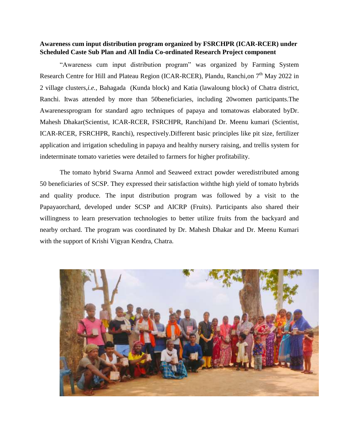## **Awareness cum input distribution program organized by FSRCHPR (ICAR-RCER) under Scheduled Caste Sub Plan and All India Co-ordinated Research Project component**

"Awareness cum input distribution program" was organized by Farming System Research Centre for Hill and Plateau Region (ICAR-RCER), Plandu, Ranchi, on 7<sup>th</sup> May 2022 in 2 village clusters,*i.e.,* Bahagada (Kunda block) and Katia (lawaloung block) of Chatra district, Ranchi. Itwas attended by more than 50beneficiaries, including 20women participants.The Awarenessprogram for standard agro techniques of papaya and tomatowas elaborated byDr. Mahesh Dhakar(Scientist, ICAR-RCER, FSRCHPR, Ranchi)and Dr. Meenu kumari (Scientist, ICAR-RCER, FSRCHPR, Ranchi), respectively.Different basic principles like pit size, fertilizer application and irrigation scheduling in papaya and healthy nursery raising, and trellis system for indeterminate tomato varieties were detailed to farmers for higher profitability.

The tomato hybrid Swarna Anmol and Seaweed extract powder weredistributed among 50 beneficiaries of SCSP. They expressed their satisfaction withthe high yield of tomato hybrids and quality produce. The input distribution program was followed by a visit to the Papayaorchard, developed under SCSP and AICRP (Fruits). Participants also shared their willingness to learn preservation technologies to better utilize fruits from the backyard and nearby orchard. The program was coordinated by Dr. Mahesh Dhakar and Dr. Meenu Kumari with the support of Krishi Vigyan Kendra, Chatra.